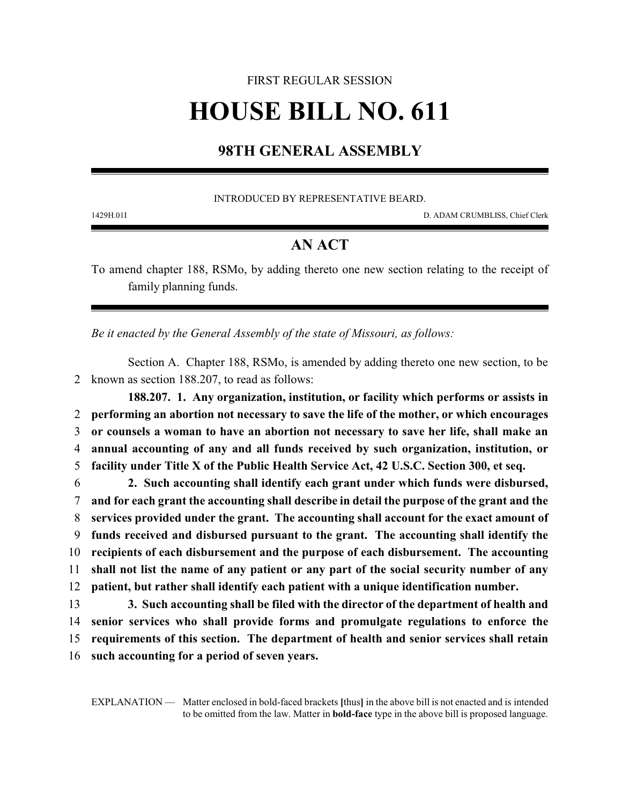# FIRST REGULAR SESSION **HOUSE BILL NO. 611**

## **98TH GENERAL ASSEMBLY**

#### INTRODUCED BY REPRESENTATIVE BEARD.

1429H.01I D. ADAM CRUMBLISS, Chief Clerk

### **AN ACT**

To amend chapter 188, RSMo, by adding thereto one new section relating to the receipt of family planning funds.

*Be it enacted by the General Assembly of the state of Missouri, as follows:*

Section A. Chapter 188, RSMo, is amended by adding thereto one new section, to be 2 known as section 188.207, to read as follows:

**188.207. 1. Any organization, institution, or facility which performs or assists in performing an abortion not necessary to save the life of the mother, or which encourages or counsels a woman to have an abortion not necessary to save her life, shall make an annual accounting of any and all funds received by such organization, institution, or facility under Title X of the Public Health Service Act, 42 U.S.C. Section 300, et seq.**

 **2. Such accounting shall identify each grant under which funds were disbursed, and for each grant the accounting shall describe in detail the purpose of the grant and the services provided under the grant. The accounting shall account for the exact amount of funds received and disbursed pursuant to the grant. The accounting shall identify the recipients of each disbursement and the purpose of each disbursement. The accounting shall not list the name of any patient or any part of the social security number of any patient, but rather shall identify each patient with a unique identification number.**

 **3. Such accounting shall be filed with the director of the department of health and senior services who shall provide forms and promulgate regulations to enforce the requirements of this section. The department of health and senior services shall retain such accounting for a period of seven years.**